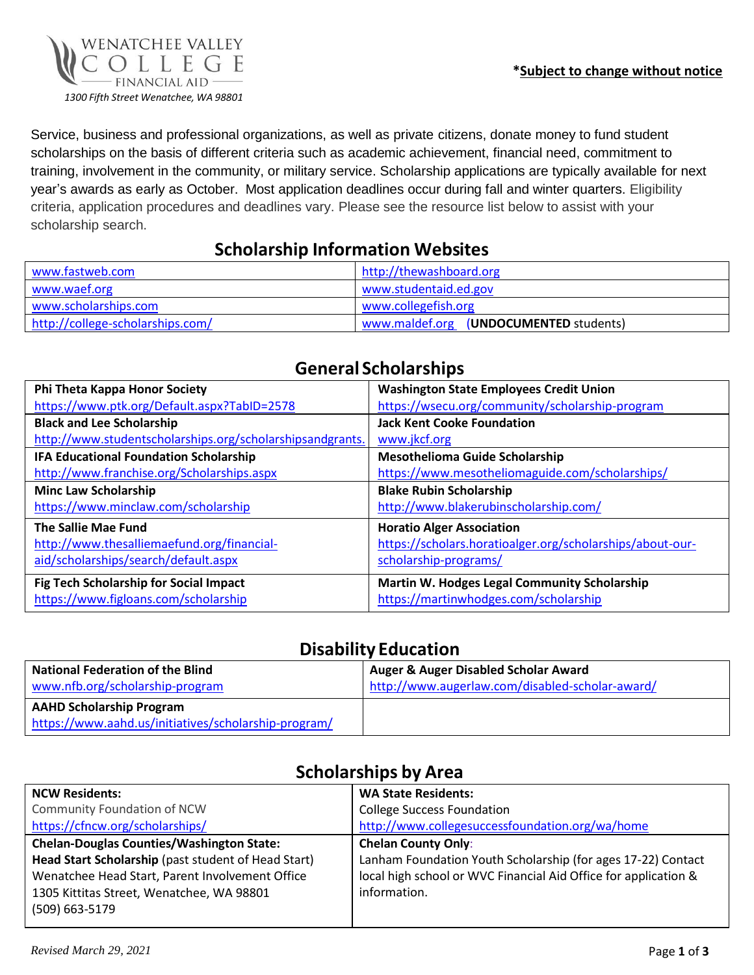

Service, business and professional organizations, as well as private citizens, donate money to fund student scholarships on the basis of different criteria such as academic achievement, financial need, commitment to training, involvement in the community, or military service. Scholarship applications are typically available for next year's awards as early as October. Most application deadlines occur during fall and winter quarters. Eligibility criteria, application procedures and deadlines vary. Please see the resource list below to assist with your scholarship search.

#### **Scholarship Information Websites**

| www.fastweb.com                  | http://thewashboard.org                   |
|----------------------------------|-------------------------------------------|
| www.waef.org                     | www.studentaid.ed.gov                     |
| www.scholarships.com             | www.collegefish.org                       |
| http://college-scholarships.com/ | www.maldef.org<br>(UNDOCUMENTED students) |

| Phi Theta Kappa Honor Society                                                                             | <b>Washington State Employees Credit Union</b>                                                                         |
|-----------------------------------------------------------------------------------------------------------|------------------------------------------------------------------------------------------------------------------------|
| https://www.ptk.org/Default.aspx?TabID=2578                                                               | https://wsecu.org/community/scholarship-program                                                                        |
| <b>Black and Lee Scholarship</b>                                                                          | <b>Jack Kent Cooke Foundation</b>                                                                                      |
| http://www.studentscholarships.org/scholarshipsandgrants.                                                 | www.jkcf.org                                                                                                           |
| IFA Educational Foundation Scholarship                                                                    | <b>Mesothelioma Guide Scholarship</b>                                                                                  |
| http://www.franchise.org/Scholarships.aspx                                                                | https://www.mesotheliomaguide.com/scholarships/                                                                        |
| <b>Minc Law Scholarship</b>                                                                               | <b>Blake Rubin Scholarship</b>                                                                                         |
| https://www.minclaw.com/scholarship                                                                       | http://www.blakerubinscholarship.com/                                                                                  |
| The Sallie Mae Fund<br>http://www.thesalliemaefund.org/financial-<br>aid/scholarships/search/default.aspx | <b>Horatio Alger Association</b><br>https://scholars.horatioalger.org/scholarships/about-our-<br>scholarship-programs/ |
| Fig Tech Scholarship for Social Impact<br>https://www.figloans.com/scholarship                            | Martin W. Hodges Legal Community Scholarship<br>https://martinwhodges.com/scholarship                                  |

## **General Scholarships**

## **Disability Education**

| <b>National Federation of the Blind</b><br>www.nfb.org/scholarship-program | Auger & Auger Disabled Scholar Award<br>http://www.augerlaw.com/disabled-scholar-award/ |
|----------------------------------------------------------------------------|-----------------------------------------------------------------------------------------|
| <b>AAHD Scholarship Program</b>                                            |                                                                                         |
| https://www.aahd.us/initiatives/scholarship-program/                       |                                                                                         |

## **Scholarships by Area**

| <b>NCW Residents:</b>                               | <b>WA State Residents:</b>                                      |
|-----------------------------------------------------|-----------------------------------------------------------------|
| Community Foundation of NCW                         | <b>College Success Foundation</b>                               |
| https://cfncw.org/scholarships/                     | http://www.collegesuccessfoundation.org/wa/home                 |
| <b>Chelan-Douglas Counties/Washington State:</b>    | <b>Chelan County Only:</b>                                      |
| Head Start Scholarship (past student of Head Start) | Lanham Foundation Youth Scholarship (for ages 17-22) Contact    |
| Wenatchee Head Start, Parent Involvement Office     | local high school or WVC Financial Aid Office for application & |
| 1305 Kittitas Street, Wenatchee, WA 98801           | information.                                                    |
| (509) 663-5179                                      |                                                                 |
|                                                     |                                                                 |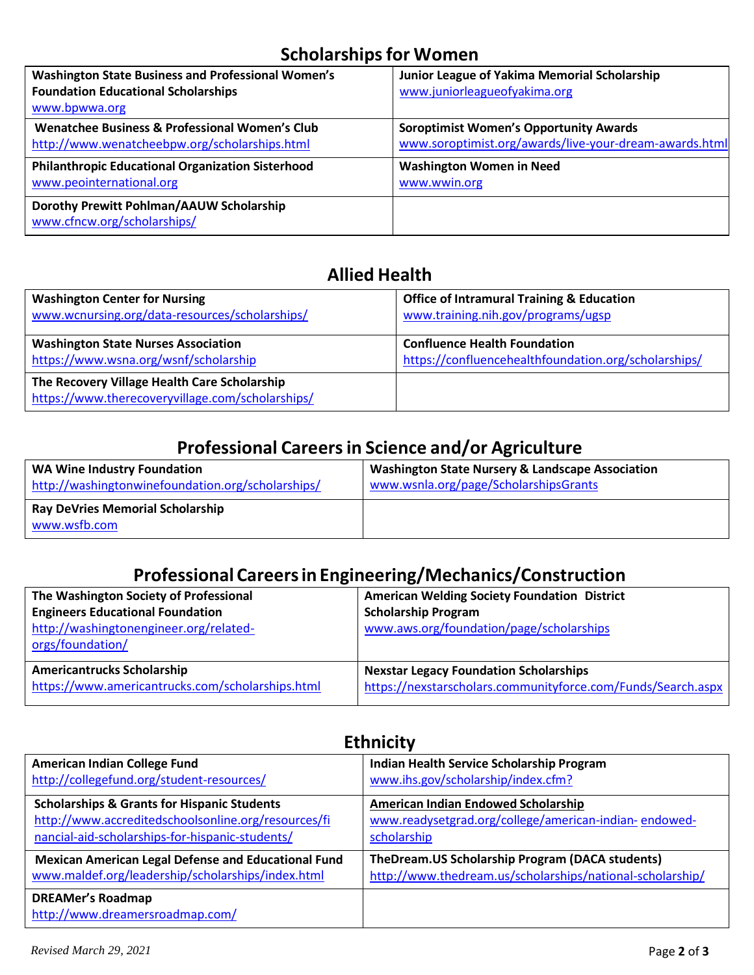## **Scholarships for Women**

| Washington State Business and Professional Women's                      | Junior League of Yakima Memorial Scholarship           |
|-------------------------------------------------------------------------|--------------------------------------------------------|
| <b>Foundation Educational Scholarships</b>                              | www.juniorleagueofyakima.org                           |
| www.bpwwa.org                                                           |                                                        |
| Wenatchee Business & Professional Women's Club                          | <b>Soroptimist Women's Opportunity Awards</b>          |
| http://www.wenatcheebpw.org/scholarships.html                           | www.soroptimist.org/awards/live-your-dream-awards.html |
| <b>Philanthropic Educational Organization Sisterhood</b>                | <b>Washington Women in Need</b>                        |
| www.peointernational.org                                                | www.wwin.org                                           |
| Dorothy Prewitt Pohlman/AAUW Scholarship<br>www.cfncw.org/scholarships/ |                                                        |

## **Allied Health**

| <b>Washington Center for Nursing</b>                                                             | <b>Office of Intramural Training &amp; Education</b> |
|--------------------------------------------------------------------------------------------------|------------------------------------------------------|
| www.wcnursing.org/data-resources/scholarships/                                                   | www.training.nih.gov/programs/ugsp                   |
| <b>Washington State Nurses Association</b>                                                       | <b>Confluence Health Foundation</b>                  |
| https://www.wsna.org/wsnf/scholarship                                                            | https://confluencehealthfoundation.org/scholarships/ |
| The Recovery Village Health Care Scholarship<br>https://www.therecoveryvillage.com/scholarships/ |                                                      |

## **Professional Careersin Science and/or Agriculture**

| <b>WA Wine Industry Foundation</b>                      | <b>Washington State Nursery &amp; Landscape Association</b> |
|---------------------------------------------------------|-------------------------------------------------------------|
| http://washingtonwinefoundation.org/scholarships/       | www.wsnla.org/page/ScholarshipsGrants                       |
| <b>Ray DeVries Memorial Scholarship</b><br>www.wsfb.com |                                                             |

#### **Professional Careersin Engineering/Mechanics/Construction**

| The Washington Society of Professional<br><b>Engineers Educational Foundation</b><br>http://washingtonengineer.org/related-<br>orgs/foundation/ | <b>American Welding Society Foundation District</b><br><b>Scholarship Program</b><br>www.aws.org/foundation/page/scholarships |
|-------------------------------------------------------------------------------------------------------------------------------------------------|-------------------------------------------------------------------------------------------------------------------------------|
| <b>Americantrucks Scholarship</b>                                                                                                               | <b>Nexstar Legacy Foundation Scholarships</b>                                                                                 |
| https://www.americantrucks.com/scholarships.html                                                                                                | https://nexstarscholars.communityforce.com/Funds/Search.aspx                                                                  |

| <b>LUILIULU</b>                                             |                                                           |
|-------------------------------------------------------------|-----------------------------------------------------------|
| <b>American Indian College Fund</b>                         | Indian Health Service Scholarship Program                 |
| http://collegefund.org/student-resources/                   | www.ihs.gov/scholarship/index.cfm?                        |
| <b>Scholarships &amp; Grants for Hispanic Students</b>      | American Indian Endowed Scholarship                       |
| http://www.accreditedschoolsonline.org/resources/fi         | www.readysetgrad.org/college/american-indian-endowed-     |
| nancial-aid-scholarships-for-hispanic-students/             | scholarship                                               |
| Mexican American Legal Defense and Educational Fund         | TheDream.US Scholarship Program (DACA students)           |
| www.maldef.org/leadership/scholarships/index.html           | http://www.thedream.us/scholarships/national-scholarship/ |
| <b>DREAMer's Roadmap</b><br>http://www.dreamersroadmap.com/ |                                                           |

# **Ethnicity**